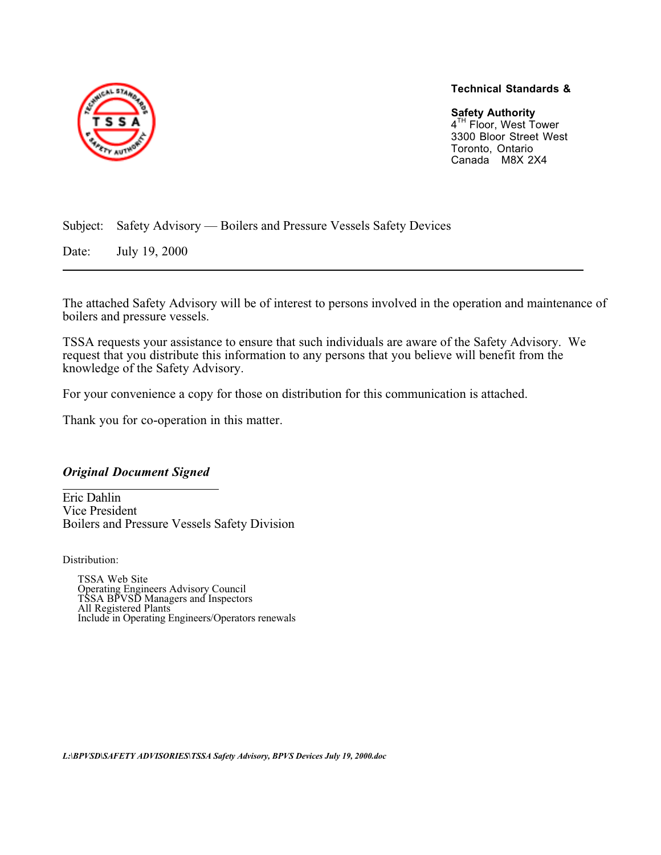

## **Technical Standards &**

**Safety Authority** 4<sup>TH</sup> Floor, West Tower 3300 Bloor Street West Toronto, Ontario Canada M8X 2X4

Subject: Safety Advisory — Boilers and Pressure Vessels Safety Devices

Date: July 19, 2000

The attached Safety Advisory will be of interest to persons involved in the operation and maintenance of boilers and pressure vessels.

TSSA requests your assistance to ensure that such individuals are aware of the Safety Advisory. We request that you distribute this information to any persons that you believe will benefit from the knowledge of the Safety Advisory.

For your convenience a copy for those on distribution for this communication is attached.

Thank you for co-operation in this matter.

## *Original Document Signed*

Eric Dahlin Vice President Boilers and Pressure Vessels Safety Division

Distribution:

TSSA Web Site Operating Engineers Advisory Council TSSA BPVSD Managers and Inspectors All Registered Plants Include in Operating Engineers/Operators renewals

*L:\BPVSD\SAFETY ADVISORIES\TSSA Safety Advisory, BPVS Devices July 19, 2000.doc*